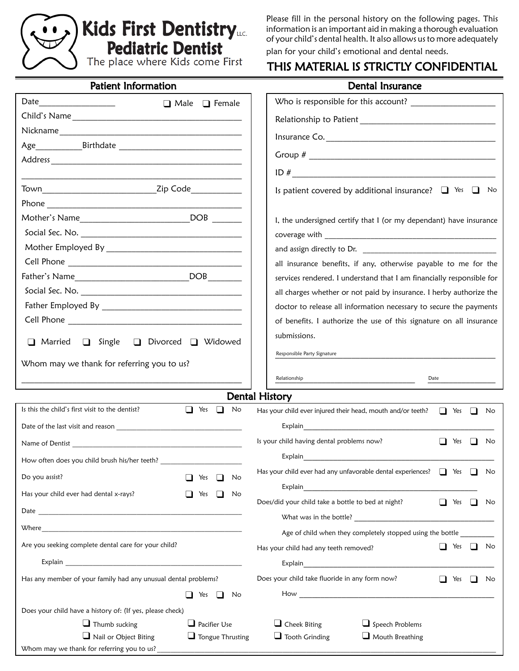

Please fill in the personal history on the following pages. This information is an important aid in making a thorough evaluation of your child's dental health. It also allows us to more adequately plan for your child's emotional and dental needs.

#### THIS MATERIAL IS STRICTLY CONFIDENTIAL

| <b>Patient Information</b>                                                 |                            | Dental Insurance                                                             |      |            |                |    |  |
|----------------------------------------------------------------------------|----------------------------|------------------------------------------------------------------------------|------|------------|----------------|----|--|
| Date<br>$\Box$ Male $\Box$ Female                                          |                            |                                                                              |      |            |                |    |  |
|                                                                            |                            |                                                                              |      |            |                |    |  |
|                                                                            |                            |                                                                              |      |            |                |    |  |
|                                                                            |                            |                                                                              |      |            |                |    |  |
|                                                                            |                            |                                                                              |      |            |                |    |  |
|                                                                            |                            |                                                                              |      |            |                |    |  |
| Town Town 2ip Code                                                         |                            | Is patient covered by additional insurance? $\Box$ Yes $\Box$                |      |            |                | No |  |
|                                                                            |                            |                                                                              |      |            |                |    |  |
| Mother's Name_______________________________DOB ________                   |                            | I, the undersigned certify that I (or my dependant) have insurance           |      |            |                |    |  |
|                                                                            |                            |                                                                              |      |            |                |    |  |
|                                                                            |                            |                                                                              |      |            |                |    |  |
|                                                                            |                            | all insurance benefits, if any, otherwise payable to me for the              |      |            |                |    |  |
|                                                                            |                            | services rendered. I understand that I am financially responsible for        |      |            |                |    |  |
|                                                                            |                            | all charges whether or not paid by insurance. I herby authorize the          |      |            |                |    |  |
|                                                                            |                            | doctor to release all information necessary to secure the payments           |      |            |                |    |  |
|                                                                            |                            | of benefits. I authorize the use of this signature on all insurance          |      |            |                |    |  |
| □ Married<br>Single<br>$\Box$                                              | □ Divorced □ Widowed       | submissions.                                                                 |      |            |                |    |  |
| Whom may we thank for referring you to us?                                 |                            | Responsible Party Signature                                                  |      |            |                |    |  |
|                                                                            |                            | Relationship                                                                 | Date |            |                |    |  |
|                                                                            |                            | <b>Dental History</b>                                                        |      |            |                |    |  |
| Is this the child's first visit to the dentist?                            | $\Box$ Yes<br>$\Box$<br>No | Has your child ever injured their head, mouth and/or teeth?                  |      | $\Box$ Yes | $\blacksquare$ | No |  |
|                                                                            |                            |                                                                              |      |            |                |    |  |
|                                                                            |                            | Is your child having dental problems now?                                    |      | Yes        |                | No |  |
|                                                                            |                            | Explain                                                                      |      |            |                |    |  |
| How often does you child brush his/her teeth?                              |                            |                                                                              |      |            |                |    |  |
| Do you assist?<br>Yes<br>$\blacksquare$<br>No                              |                            | Has your child ever had any unfavorable dental experiences? $\Box$ Yes<br>No |      |            |                |    |  |
| Has your child ever had dental x-rays?                                     | Yes<br>$\perp$<br>No       | Does/did your child take a bottle to bed at night?                           | n.   | Yes        | □              |    |  |
|                                                                            |                            |                                                                              |      |            |                | No |  |
|                                                                            |                            |                                                                              |      |            |                |    |  |
|                                                                            |                            |                                                                              |      |            |                | No |  |
|                                                                            |                            | Age of child when they completely stopped using the bottle                   |      |            |                |    |  |
| Are you seeking complete dental care for your child?                       |                            | Has your child had any teeth removed?                                        |      | $\Box$ Yes | $\sqcup$       |    |  |
|                                                                            |                            |                                                                              |      |            |                |    |  |
| Has any member of your family had any unusual dental problems?             |                            | Does your child take fluoride in any form now?                               |      | $\Box$ Yes | $\blacksquare$ | No |  |
|                                                                            | No<br>Yes                  |                                                                              |      |            |                |    |  |
| Does your child have a history of: (If yes, please check)                  |                            |                                                                              |      |            |                |    |  |
| $\Box$ Thumb sucking                                                       | $\Box$ Pacifier Use        | $\Box$ Cheek Biting<br>$\Box$ Speech Problems                                |      |            |                |    |  |
| $\Box$ Nail or Object Biting<br>Whom may we thank for referring you to us? | $\Box$ Tongue Thrusting    | $\Box$ Tooth Grinding<br>$\Box$ Mouth Breathing                              |      |            |                |    |  |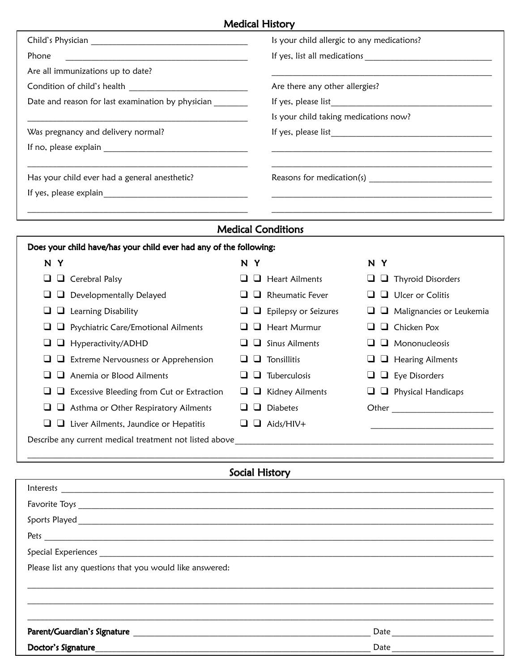### Medical History

|                                                                    | Is your child allergic to any medications?                  |  |  |  |  |
|--------------------------------------------------------------------|-------------------------------------------------------------|--|--|--|--|
| Phone                                                              |                                                             |  |  |  |  |
| Are all immunizations up to date?                                  |                                                             |  |  |  |  |
|                                                                    | Are there any other allergies?                              |  |  |  |  |
| Date and reason for last examination by physician _________        |                                                             |  |  |  |  |
|                                                                    | Is your child taking medications now?                       |  |  |  |  |
| Was pregnancy and delivery normal?                                 |                                                             |  |  |  |  |
|                                                                    |                                                             |  |  |  |  |
|                                                                    |                                                             |  |  |  |  |
| Has your child ever had a general anesthetic?                      |                                                             |  |  |  |  |
|                                                                    | <u> 1989 - Johann Stoff, amerikansk politiker (d. 1989)</u> |  |  |  |  |
|                                                                    |                                                             |  |  |  |  |
| <b>Medical Conditions</b>                                          |                                                             |  |  |  |  |
| Does your child have/has your child ever had any of the following: |                                                             |  |  |  |  |

| N<br>Y                    |                                                         | N<br>Υ       |                             | N | Y     |                                 |
|---------------------------|---------------------------------------------------------|--------------|-----------------------------|---|-------|---------------------------------|
| Cerebral Palsy<br>u.<br>┙ |                                                         | ப            | $\Box$ Heart Ailments       |   |       | $\Box$ Thyroid Disorders        |
| u.<br>┙                   | Developmentally Delayed                                 | ப            | $\Box$ Rheumatic Fever      |   |       | $\Box$ $\Box$ Ulcer or Colitis  |
| u<br>⊔                    | Learning Disability                                     | u.           | $\Box$ Epilepsy or Seizures |   |       | $\Box$ Malignancies or Leukemia |
| ⊔                         | Psychiatric Care/Emotional Ailments                     |              | $\Box$ Heart Murmur         |   |       | $\Box$ Chicken Pox              |
| ┙<br>┙                    | Hyperactivity/ADHD                                      |              | $\Box$ Sinus Ailments       |   |       | $\Box$ Mononucleosis            |
| ⊔                         | Extreme Nervousness or Apprehension                     |              | $\Box$ Tonsillitis          |   |       | $\Box$ Hearing Ailments         |
|                           | Anemia or Blood Ailments                                | $\mathbf{L}$ | Tuberculosis                |   |       | $\Box$ $\Box$ Eye Disorders     |
|                           | Excessive Bleeding from Cut or Extraction               | ⊔            | $\Box$ Kidney Ailments      |   |       | $\Box$ Physical Handicaps       |
|                           | Asthma or Other Respiratory Ailments                    | $\sqcup$     | <b>Diabetes</b>             |   | Other |                                 |
|                           | Liver Ailments, Jaundice or Hepatitis                   | ⊔            | Aids/HIV+                   |   |       |                                 |
|                           | Describe any current medical treatment not listed above |              |                             |   |       |                                 |

## Social History

| $\textbf{Interests} \hspace{20pt} \underbrace{\hspace{20pt} \textbf{Interests}}$                                                                                                                                                     |      |
|--------------------------------------------------------------------------------------------------------------------------------------------------------------------------------------------------------------------------------------|------|
|                                                                                                                                                                                                                                      |      |
|                                                                                                                                                                                                                                      |      |
| Pets <u>and the set of the set of the set of the set of the set of the set of the set of the set of the set of the set of the set of the set of the set of the set of the set of the set of the set of the set of the set of the</u> |      |
|                                                                                                                                                                                                                                      |      |
| Please list any questions that you would like answered:                                                                                                                                                                              |      |
|                                                                                                                                                                                                                                      |      |
|                                                                                                                                                                                                                                      |      |
|                                                                                                                                                                                                                                      |      |
|                                                                                                                                                                                                                                      |      |
| Doctor's Signature                                                                                                                                                                                                                   | Date |